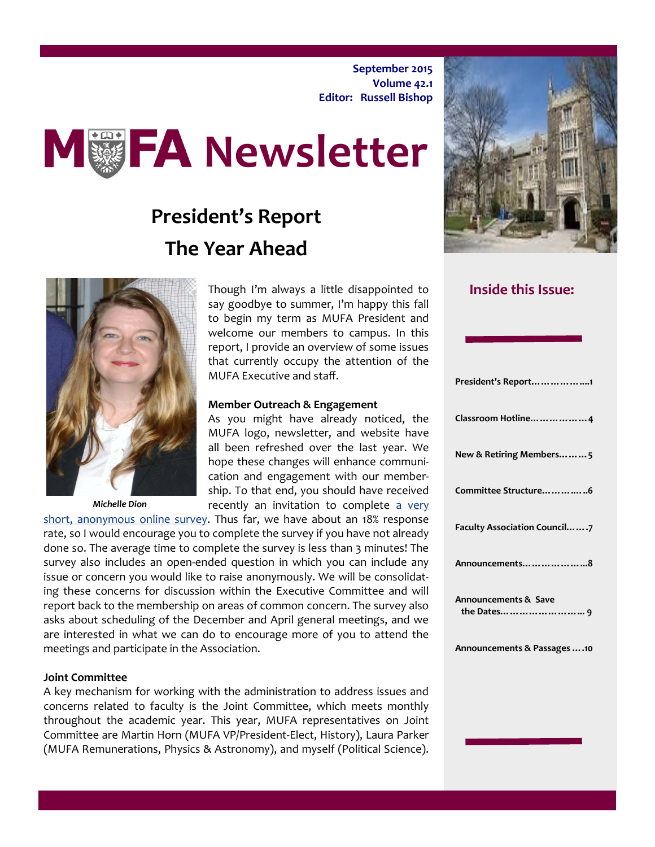**September 2015 Volume 42.1 Editor: Russell Bishop**



# **President's Report The Year Ahead**



*Michelle Dion*

Though I'm always a little disappointed to say goodbye to summer, I'm happy this fall to begin my term as MUFA President and welcome our members to campus. In this report, I provide an overview of some issues that currently occupy the attention of the MUFA Executive and staff.

#### **Member Outreach & Engagement**

As you might have already noticed, the MUFA logo, newsletter, and website have all been refreshed over the last year. We hope these changes will enhance communication and engagement with our membership. To that end, you should have received recently an invitation to complete a very

[short, anonymous online survey.](http://macfaculty.ca/faculty-member-flash-survey/) Thus far, we have about an 18% response rate, so I would encourage you to complete the survey if you have not already done so. The average time to complete the survey is less than 3 minutes! The survey also includes an open-ended question in which you can include any issue or concern you would like to raise anonymously. We will be consolidating these concerns for discussion within the Executive Committee and will report back to the membership on areas of common concern. The survey also asks about scheduling of the December and April general meetings, and we are interested in what we can do to encourage more of you to attend the meetings and participate in the Association.

#### **Joint Committee**

A key mechanism for working with the administration to address issues and concerns related to faculty is the Joint Committee, which meets monthly throughout the academic year. This year, MUFA representatives on Joint Committee are Martin Horn (MUFA VP/President-Elect, History), Laura Parker (MUFA Remunerations, Physics & Astronomy), and myself (Political Science).



#### **Inside this Issue:**

| President's Report1                 |
|-------------------------------------|
| Classroom Hotline4                  |
| New & Retiring Members5             |
| Committee Structure6                |
| <b>Faculty Association Council7</b> |
| Announcements8                      |
| <b>Announcements &amp; Save</b>     |
| Announcements & Passages  .10       |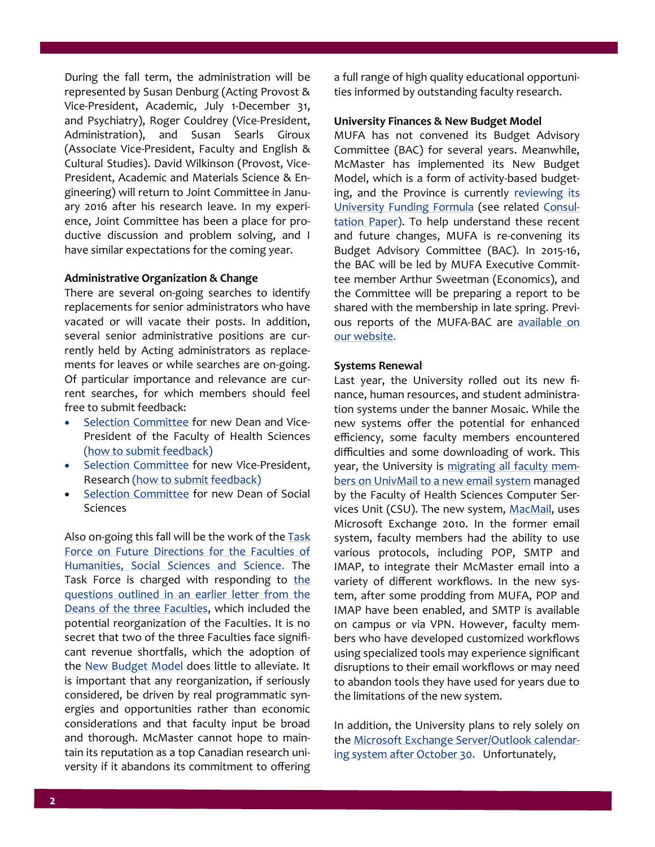During the fall term, the administration will be represented by Susan Denburg (Acting Provost & Vice-President, Academic, July 1-December 31, and Psychiatry), Roger Couldrey (Vice-President, Administration), and Susan Searls Giroux (Associate Vice-President, Faculty and English & Cultural Studies). David Wilkinson (Provost, Vice-President, Academic and Materials Science & Engineering) will return to Joint Committee in January 2016 after his research leave. In my experience, Joint Committee has been a place for productive discussion and problem solving, and I have similar expectations for the coming year.

#### **Administrative Organization & Change**

There are several on-going searches to identify replacements for senior administrators who have vacated or will vacate their posts. In addition, several senior administrative positions are currently held by Acting administrators as replacements for leaves or while searches are on-going. Of particular importance and relevance are current searches, for which members should feel free to submit feedback:

- [Selection Committee](http://www.mcmaster.ca/univsec/VP_DeanHealthSci/committee.cfm) for new Dean and Vice-President of the Faculty of Health Sciences [\(how to submit feedback\)](http://www.mcmaster.ca/univsec/VP_DeanHealthSci/communication.cfm)
- [Selection Committee](http://www.mcmaster.ca/univsec/VP_Research/committee.cfm) for new Vice-President, Research [\(how to submit feedback\)](http://www.mcmaster.ca/univsec/VP_Research/communication.cfm)
- [Selection Committee](http://www.mcmaster.ca/vpacademic/documents/SelCteDeanSocSci-final.pdf) for new Dean of Social Sciences

Also on-going this fall will be the work of the Task [Force on Future Directions for the Faculties of](http://www.mcmaster.ca/vpacademic/documents/ThreetaskforcememoDWilkinsonMay262015.pdf)  [Humanities, Social Sciences and Science.](http://www.mcmaster.ca/vpacademic/documents/ThreetaskforcememoDWilkinsonMay262015.pdf) The Task Force is charged with responding to the [questions outlined in an earlier letter from the](http://www.mcmaster.ca/vpacademic/documents/ALetterfromtheDeansofHumanitiesScienceandSocialSciences.pdf)  [Deans of the three Faculties,](http://www.mcmaster.ca/vpacademic/documents/ALetterfromtheDeansofHumanitiesScienceandSocialSciences.pdf) which included the potential reorganization of the Faculties. It is no secret that two of the three Faculties face significant revenue shortfalls, which the adoption of the [New Budget Model](http://budgetmodel.mcmaster.ca/) does little to alleviate. It is important that any reorganization, if seriously considered, be driven by real programmatic synergies and opportunities rather than economic considerations and that faculty input be broad and thorough. McMaster cannot hope to maintain its reputation as a top Canadian research university if it abandons its commitment to offering

a full range of high quality educational opportunities informed by outstanding faculty research.

#### **University Finances & New Budget Model**

MUFA has not convened its Budget Advisory Committee (BAC) for several years. Meanwhile, McMaster has implemented its New Budget Model, which is a form of activity-based budgeting, and the Province is currently reviewing its [University Funding Formula](http://www.tcu.gov.on.ca/pepg/audiences/universities/uff/about_consultation.html) (see related [Consul](http://www.tcu.gov.on.ca/pepg/audiences/universities/uff/uff_ConsultationPaper.pdf)[tation Paper\).](http://www.tcu.gov.on.ca/pepg/audiences/universities/uff/uff_ConsultationPaper.pdf) To help understand these recent and future changes, MUFA is re-convening its Budget Advisory Committee (BAC). In 2015-16, the BAC will be led by MUFA Executive Committee member Arthur Sweetman (Economics), and the Committee will be preparing a report to be shared with the membership in late spring. Previous reports of the MUFA-BAC are available on [our website.](http://macfaculty.ca/archives/)

#### **Systems Renewal**

Last year, the University rolled out its new finance, human resources, and student administration systems under the banner Mosaic. While the new systems offer the potential for enhanced efficiency, some faculty members encountered difficulties and some downloading of work. This year, the University is [migrating all faculty mem](http://dailynews.mcmaster.ca/article/migration-to-new-email-system-continues/)[bers on UnivMail to a new email system](http://dailynews.mcmaster.ca/article/migration-to-new-email-system-continues/) managed by the Faculty of Health Sciences Computer Ser-vices Unit (CSU). The new system, [MacMail,](http://macmailhelp.mcmaster.ca/) uses Microsoft Exchange 2010. In the former email system, faculty members had the ability to use various protocols, including POP, SMTP and IMAP, to integrate their McMaster email into a variety of different workflows. In the new system, after some prodding from MUFA, POP and IMAP have been enabled, and SMTP is available on campus or via VPN. However, faculty members who have developed customized workflows using specialized tools may experience significant disruptions to their email workflows or may need to abandon tools they have used for years due to the limitations of the new system.

In addition, the University plans to rely solely on the [Microsoft Exchange Server/Outlook calendar](http://dailynews.mcmaster.ca/article/mcmaster-to-switch-calendaring-systems-on-october-30/)[ing system after October 30.](http://dailynews.mcmaster.ca/article/mcmaster-to-switch-calendaring-systems-on-october-30/) Unfortunately,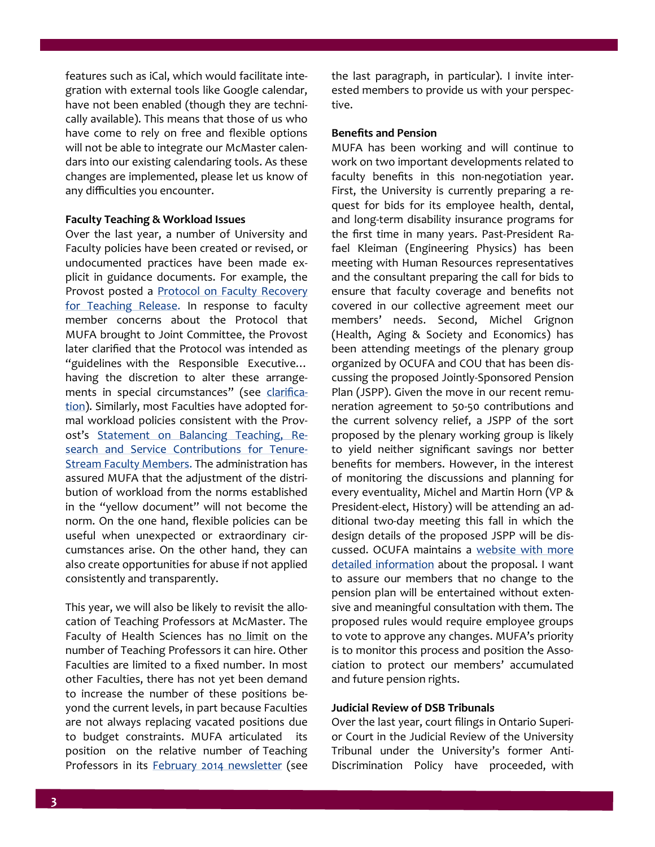features such as iCal, which would facilitate integration with external tools like Google calendar, have not been enabled (though they are technically available). This means that those of us who have come to rely on free and flexible options will not be able to integrate our McMaster calendars into our existing calendaring tools. As these changes are implemented, please let us know of any difficulties you encounter.

#### **Faculty Teaching & Workload Issues**

Over the last year, a number of University and Faculty policies have been created or revised, or undocumented practices have been made explicit in guidance documents. For example, the Provost posted a **Protocol on Faculty Recovery** [for Teaching Release.](http://www.mcmaster.ca/vpacademic/documents/Protocol_on_Faculty_Recovery_for_Teaching_Release-Nov2014.pdf) In response to faculty member concerns about the Protocol that MUFA brought to Joint Committee, the Provost later clarified that the Protocol was intended as "guidelines with the Responsible Executive… having the discretion to alter these arrangements in special circumstances" (see [clarifica](http://www.mcmaster.ca/vpacademic/documents/Protocol_on_Faculty_Recovery_for_Teaching_Release-Provost-Memo-Feb-2015.pdf)[tion\).](http://www.mcmaster.ca/vpacademic/documents/Protocol_on_Faculty_Recovery_for_Teaching_Release-Provost-Memo-Feb-2015.pdf) Similarly, most Faculties have adopted formal workload policies consistent with the Provost's [Statement on Balancing Teaching, Re](http://www.mcmaster.ca/vpacademic/documents/Balancing%20Contributions%20at%20McMaster%20-%20April,%202014.pdf)[search and Service Contributions for Tenure](http://www.mcmaster.ca/vpacademic/documents/Balancing%20Contributions%20at%20McMaster%20-%20April,%202014.pdf)-[Stream Faculty Members.](http://www.mcmaster.ca/vpacademic/documents/Balancing%20Contributions%20at%20McMaster%20-%20April,%202014.pdf) The administration has assured MUFA that the adjustment of the distribution of workload from the norms established in the "yellow document" will not become the norm. On the one hand, flexible policies can be useful when unexpected or extraordinary circumstances arise. On the other hand, they can also create opportunities for abuse if not applied consistently and transparently.

This year, we will also be likely to revisit the allocation of Teaching Professors at McMaster. The Faculty of Health Sciences has no limit on the number of Teaching Professors it can hire. Other Faculties are limited to a fixed number. In most other Faculties, there has not yet been demand to increase the number of these positions beyond the current levels, in part because Faculties are not always replacing vacated positions due to budget constraints. MUFA articulated its position on the relative number of Teaching Professors in its [February 2014 newsletter](http://www.mcmaster.ca/mufa/documents/Feb-March2014_002.pdf) (see

the last paragraph, in particular). I invite interested members to provide us with your perspective.

#### **Benefits and Pension**

MUFA has been working and will continue to work on two important developments related to faculty benefits in this non-negotiation year. First, the University is currently preparing a request for bids for its employee health, dental, and long-term disability insurance programs for the first time in many years. Past-President Rafael Kleiman (Engineering Physics) has been meeting with Human Resources representatives and the consultant preparing the call for bids to ensure that faculty coverage and benefits not covered in our collective agreement meet our members' needs. Second, Michel Grignon (Health, Aging & Society and Economics) has been attending meetings of the plenary group organized by OCUFA and COU that has been discussing the proposed Jointly-Sponsored Pension Plan (JSPP). Given the move in our recent remuneration agreement to 50-50 contributions and the current solvency relief, a JSPP of the sort proposed by the plenary working group is likely to yield neither significant savings nor better benefits for members. However, in the interest of monitoring the discussions and planning for every eventuality, Michel and Martin Horn (VP & President-elect, History) will be attending an additional two-day meeting this fall in which the design details of the proposed JSPP will be discussed. OCUFA maintains a [website with more](http://www.ocufapensionreview.ca/)  [detailed information](http://www.ocufapensionreview.ca/) about the proposal. I want to assure our members that no change to the pension plan will be entertained without extensive and meaningful consultation with them. The proposed rules would require employee groups to vote to approve any changes. MUFA's priority is to monitor this process and position the Association to protect our members' accumulated and future pension rights.

#### **Judicial Review of DSB Tribunals**

Over the last year, court filings in Ontario Superior Court in the Judicial Review of the University Tribunal under the University's former Anti-Discrimination Policy have proceeded, with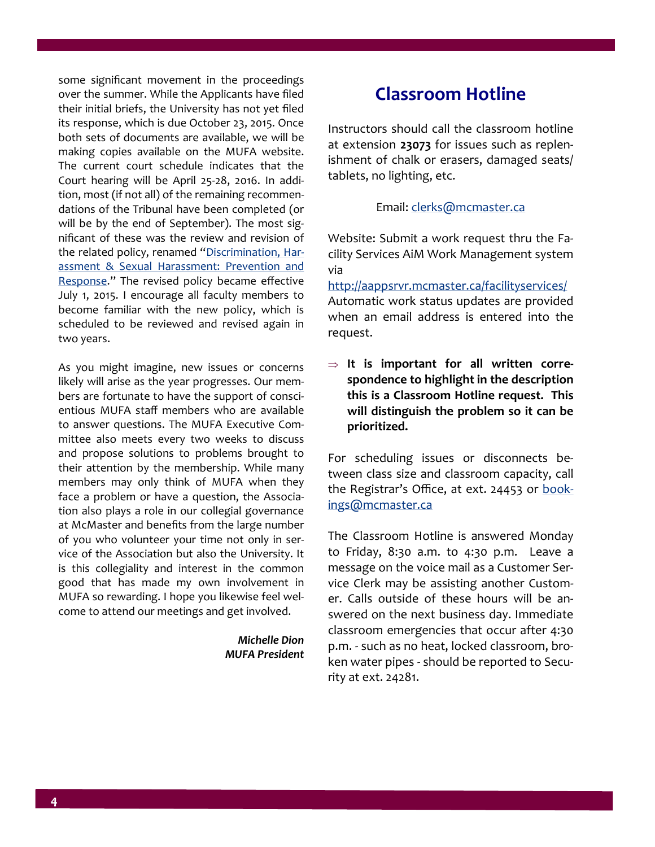some significant movement in the proceedings over the summer. While the Applicants have filed their initial briefs, the University has not yet filed its response, which is due October 23, 2015. Once both sets of documents are available, we will be making copies available on the MUFA website. The current court schedule indicates that the Court hearing will be April 25-28, 2016. In addition, most (if not all) of the remaining recommendations of the Tribunal have been completed (or will be by the end of September). The most significant of these was the review and revision of the related policy, renamed "[Discrimination, Har](http://www.mcmaster.ca/policy/General/HR/Discrimination_Harassment_Sexual_Harassment-Prevention&Response.pdf)[assment & Sexual Harassment: Prevention and](http://www.mcmaster.ca/policy/General/HR/Discrimination_Harassment_Sexual_Harassment-Prevention&Response.pdf)  [Response."](http://www.mcmaster.ca/policy/General/HR/Discrimination_Harassment_Sexual_Harassment-Prevention&Response.pdf) The revised policy became effective July 1, 2015. I encourage all faculty members to become familiar with the new policy, which is scheduled to be reviewed and revised again in two years.

As you might imagine, new issues or concerns likely will arise as the year progresses. Our members are fortunate to have the support of conscientious MUFA staff members who are available to answer questions. The MUFA Executive Committee also meets every two weeks to discuss and propose solutions to problems brought to their attention by the membership. While many members may only think of MUFA when they face a problem or have a question, the Association also plays a role in our collegial governance at McMaster and benefits from the large number of you who volunteer your time not only in service of the Association but also the University. It is this collegiality and interest in the common good that has made my own involvement in MUFA so rewarding. I hope you likewise feel welcome to attend our meetings and get involved.

> *Michelle Dion MUFA President*

## **Classroom Hotline**

Instructors should call the classroom hotline at extension **23073** for issues such as replenishment of chalk or erasers, damaged seats/ tablets, no lighting, etc.

#### Email: [clerks@mcmaster.ca](mailto:clerks@ppims.serivces.mcmaster.ca)

Website: Submit a work request thru the Facility Services AiM Work Management system via

<http://aappsrvr.mcmaster.ca/facilityservices/> Automatic work status updates are provided when an email address is entered into the request.

 **It is important for all written correspondence to highlight in the description this is a Classroom Hotline request. This will distinguish the problem so it can be prioritized.** 

For scheduling issues or disconnects between class size and classroom capacity, call the Registrar's Office, at ext. 24453 or [book](mailto:bookings@mcmaster.ca)[ings@mcmaster.ca](mailto:bookings@mcmaster.ca)

The Classroom Hotline is answered Monday to Friday, 8:30 a.m. to 4:30 p.m. Leave a message on the voice mail as a Customer Service Clerk may be assisting another Customer. Calls outside of these hours will be answered on the next business day. Immediate classroom emergencies that occur after 4:30 p.m. - such as no heat, locked classroom, broken water pipes - should be reported to Security at ext. 24281.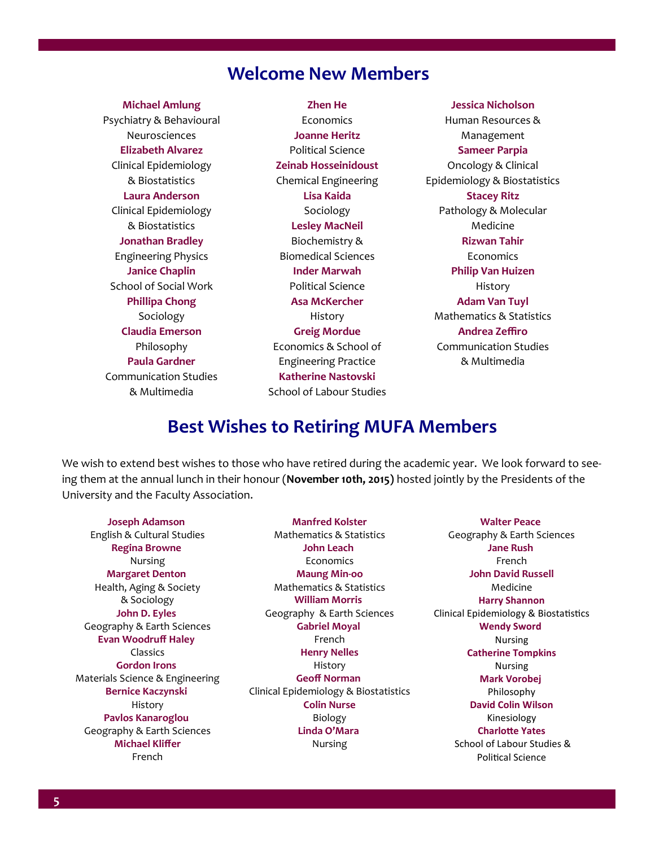## **Welcome New Members**

**Michael Amlung** Psychiatry & Behavioural Neurosciences **Elizabeth Alvarez** Clinical Epidemiology & Biostatistics **Laura Anderson** Clinical Epidemiology & Biostatistics **Jonathan Bradley** Engineering Physics **Janice Chaplin** School of Social Work **Phillipa Chong** Sociology **Claudia Emerson** Philosophy **Paula Gardner** Communication Studies & Multimedia

**Zhen He Economics Joanne Heritz** Political Science **Zeinab Hosseinidoust** Chemical Engineering **Lisa Kaida** Sociology **Lesley MacNeil** Biochemistry & Biomedical Sciences **Inder Marwah** Political Science **Asa McKercher** History **Greig Mordue** Economics & School of Engineering Practice **Katherine Nastovski** School of Labour Studies

**Jessica Nicholson** Human Resources & Management **Sameer Parpia** Oncology & Clinical Epidemiology & Biostatistics **Stacey Ritz** Pathology & Molecular Medicine **Rizwan Tahir** Economics **Philip Van Huizen** History **Adam Van Tuyl** Mathematics & Statistics **Andrea Zeffiro** Communication Studies & Multimedia

## **Best Wishes to Retiring MUFA Members**

We wish to extend best wishes to those who have retired during the academic year. We look forward to seeing them at the annual lunch in their honour (**November 10th, 2015)** hosted jointly by the Presidents of the University and the Faculty Association.

**Joseph Adamson** English & Cultural Studies **Regina Browne** Nursing **Margaret Denton** Health, Aging & Society & Sociology **John D. Eyles** Geography & Earth Sciences **Evan Woodruff Haley** Classics **Gordon Irons** Materials Science & Engineering **Bernice Kaczynski** History **Pavlos Kanaroglou** Geography & Earth Sciences **Michael Kliffer** French

**Manfred Kolster** Mathematics & Statistics **John Leach** Economics **Maung Min-oo** Mathematics & Statistics  **William Morris**  Geography & Earth Sciences **Gabriel Moyal** French **Henry Nelles** History **Geoff Norman** Clinical Epidemiology & Biostatistics **Colin Nurse** Biology **Linda O'Mara** Nursing

**Walter Peace** Geography & Earth Sciences **Jane Rush** French **John David Russell** Medicine **Harry Shannon** Clinical Epidemiology & Biostatistics **Wendy Sword** Nursing **Catherine Tompkins** Nursing **Mark Vorobej** Philosophy **David Colin Wilson** Kinesiology **Charlotte Yates** School of Labour Studies & Political Science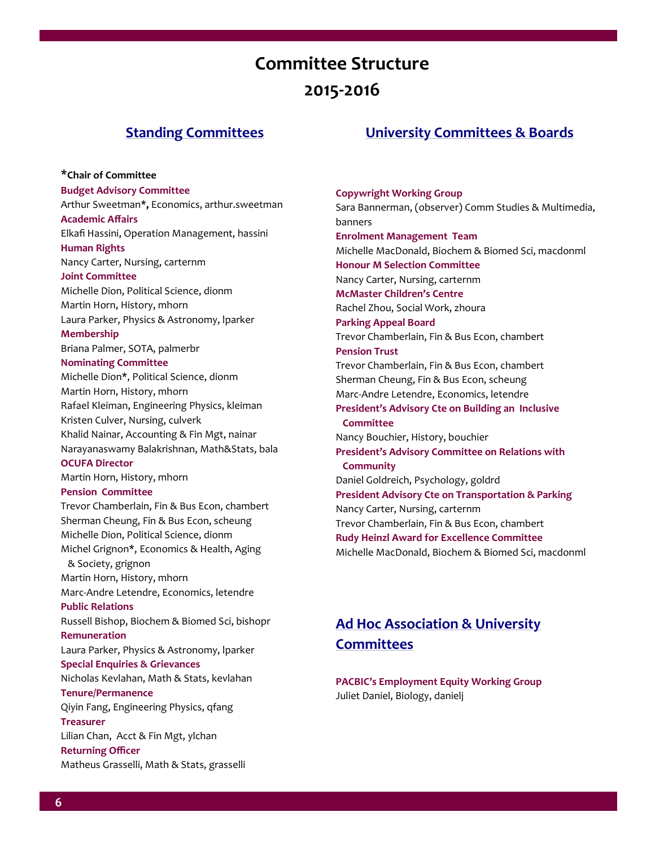# **Committee Structure 2015-2016**

#### **Standing Committees**

**University Committees & Boards**

**\*Chair of Committee Budget Advisory Committee** Arthur Sweetman**\*,** Economics, arthur.sweetman **Academic Affairs** Elkafi Hassini, Operation Management, hassini **Human Rights** Nancy Carter, Nursing, carternm **Joint Committee** Michelle Dion, Political Science, dionm Martin Horn, History, mhorn Laura Parker, Physics & Astronomy, lparker **Membership** Briana Palmer, SOTA, palmerbr **Nominating Committee** Michelle Dion**\***, Political Science, dionm Martin Horn, History, mhorn Rafael Kleiman, Engineering Physics, kleiman Kristen Culver, Nursing, culverk Khalid Nainar, Accounting & Fin Mgt, nainar Narayanaswamy Balakrishnan, Math&Stats, bala **OCUFA Director** Martin Horn, History, mhorn **Pension Committee** Trevor Chamberlain, Fin & Bus Econ, chambert Sherman Cheung, Fin & Bus Econ, scheung Michelle Dion, Political Science, dionm Michel Grignon**\***, Economics & Health, Aging & Society, grignon Martin Horn, History, mhorn Marc-Andre Letendre, Economics, letendre **Public Relations** Russell Bishop, Biochem & Biomed Sci, bishopr **Remuneration** Laura Parker, Physics & Astronomy, lparker **Special Enquiries & Grievances** Nicholas Kevlahan, Math & Stats, kevlahan **Tenure/Permanence** Qiyin Fang, Engineering Physics, qfang **Treasurer** Lilian Chan, Acct & Fin Mgt, ylchan **Returning Officer** Matheus Grasselli, Math & Stats, grasselli

**Copywright Working Group** Sara Bannerman, (observer) Comm Studies & Multimedia, banners **Enrolment Management Team** Michelle MacDonald, Biochem & Biomed Sci, macdonml **Honour M Selection Committee** Nancy Carter, Nursing, carternm **McMaster Children's Centre** Rachel Zhou, Social Work, zhoura **Parking Appeal Board** Trevor Chamberlain, Fin & Bus Econ, chambert **Pension Trust**  Trevor Chamberlain, Fin & Bus Econ, chambert Sherman Cheung, Fin & Bus Econ, scheung Marc-Andre Letendre, Economics, letendre **President's Advisory Cte on Building an Inclusive Committee** Nancy Bouchier, History, bouchier **President's Advisory Committee on Relations with Community** Daniel Goldreich, Psychology, goldrd **President Advisory Cte on Transportation & Parking** Nancy Carter, Nursing, carternm Trevor Chamberlain, Fin & Bus Econ, chambert **Rudy Heinzl Award for Excellence Committee**

## **Ad Hoc Association & University Committees**

Michelle MacDonald, Biochem & Biomed Sci, macdonml

**PACBIC's Employment Equity Working Group** Juliet Daniel, Biology, danielj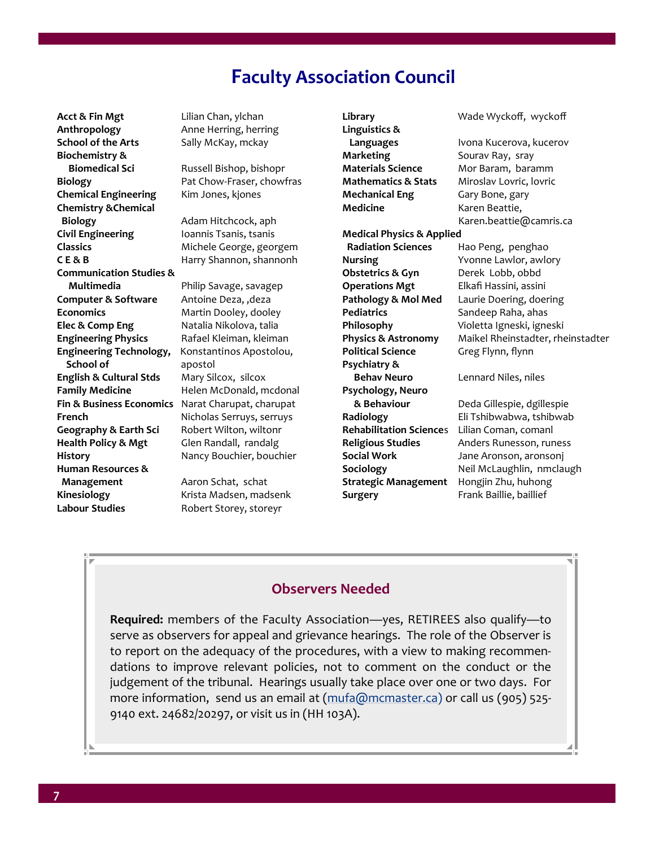## **Faculty Association Council**

**Acct & Fin Mgt** Lilian Chan, ylchan **Anthropology Anne Herring, herring School of the Arts** Sally McKay, mckay **Biochemistry & Chemical Engineering** Kim Jones, kjones **Chemistry &Chemical Biology Adam Hitchcock, aph Civil Engineering Ioannis Tsanis, tsanis Classics** Michele George, georgem **C E & B** Harry Shannon, shannonh **Communication Studies & Multimedia** Philip Savage, savagep **Computer & Software** Antoine Deza, ,deza **Economics** Martin Dooley, dooley **Elec & Comp Eng** Natalia Nikolova, talia **Engineering Physics** Rafael Kleiman, kleiman **Engineering Technology,** Konstantinos Apostolou, **School of apostol English & Cultural Stds** Mary Silcox, silcox **Family Medicine Helen McDonald, mcdonal Fin & Business Economics** Narat Charupat, charupat **French** Nicholas Serruys, serruys **Geography & Earth Sci** Robert Wilton, wiltonr **Health Policy & Mgt** Glen Randall, randalg **History Nancy Bouchier, bouchier Human Resources & Management Aaron Schat, schat Kinesiology** Krista Madsen, madsenk **Labour Studies** Robert Storey, storeyr

**Biomedical Sci** Russell Bishop, bishopr **Biology** Pat Chow-Fraser, chowfras

**Library** Wade Wyckoff, wyckoff **Linguistics & Languages** Ivona Kucerova, kucerov **Marketing** Sourav Ray, sray **Materials Science** Mor Baram, baramm **Mathematics & Stats** Miroslav Lovric, lovric **Mechanical Eng** Gary Bone, gary Medicine **Karen Beattie**, Karen.beattie@camris.ca **Medical Physics & Applied Radiation Sciences** Hao Peng, penghao **Nursing** Yvonne Lawlor, awlory **Obstetrics & Gyn** Derek Lobb, obbd **Operations Mgt** Elkafi Hassini, assini **Pathology & Mol Med** Laurie Doering, doering **Pediatrics** Sandeep Raha, ahas **Philosophy** Violetta Igneski, igneski **Physics & Astronomy** Maikel Rheinstadter, rheinstadter Political Science **Greg Flynn, flynn Psychiatry & Behav Neuro** Lennard Niles, niles **Psychology, Neuro & Behaviour** Deda Gillespie, dgillespie **Radiology** Eli Tshibwabwa, tshibwab **Rehabilitation Science**s Lilian Coman, comanl **Religious Studies** Anders Runesson, runess **Social Work** Jane Aronson, aronsonj **Sociology** Neil McLaughlin, nmclaugh **Strategic Management** Hongjin Zhu, huhong **Surgery** Frank Baillie, baillief

#### **Observers Needed**

**Required:** members of the Faculty Association—yes, RETIREES also qualify—to serve as observers for appeal and grievance hearings. The role of the Observer is to report on the adequacy of the procedures, with a view to making recommendations to improve relevant policies, not to comment on the conduct or the judgement of the tribunal. Hearings usually take place over one or two days. For more information, send us an email at [\(mufa@mcmaster.ca\)](mailto:mufa@mcmaster.ca) or call us (905) 525-9140 ext. 24682/20297, or visit us in (HH 103A).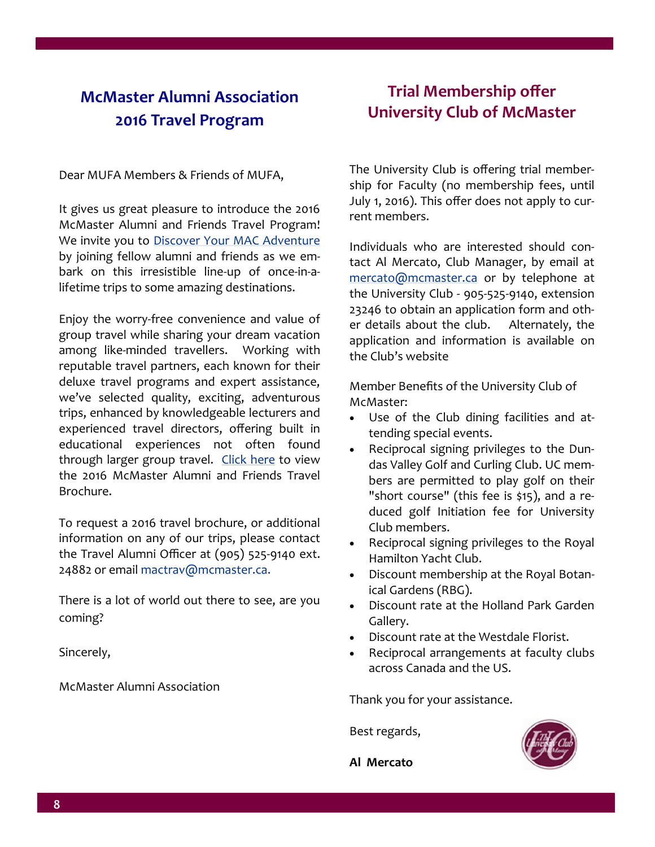## **McMaster Alumni Association 2016 Travel Program**

Dear MUFA Members & Friends of MUFA,

It gives us great pleasure to introduce the 2016 McMaster Alumni and Friends Travel Program! We invite you to [Discover Your MAC Adventure](http://alumni.os.mcmaster.ca/s/1439/index.aspx?sid=1439&gid=1&pgid=1009) by joining fellow alumni and friends as we embark on this irresistible line-up of once-in-alifetime trips to some amazing destinations.

Enjoy the worry-free convenience and value of group travel while sharing your dream vacation among like-minded travellers. Working with reputable travel partners, each known for their deluxe travel programs and expert assistance, we've selected quality, exciting, adventurous trips, enhanced by knowledgeable lecturers and experienced travel directors, offering built in educational experiences not often found through larger group travel. [Click here](http://alumni.os.mcmaster.ca/s/1439/index.aspx?sid=1439&gid=1&pgid=1990) to view the 2016 McMaster Alumni and Friends Travel Brochure.

To request a 2016 travel brochure, or additional information on any of our trips, please contact the Travel Alumni Officer at (905) 525-9140 ext. 24882 or email [mactrav@mcmaster.ca.](mailto:mactrav@mcmaster.ca)

There is a lot of world out there to see, are you coming?

Sincerely,

McMaster Alumni Association

## **Trial Membership offer University Club of McMaster**

The University Club is offering trial membership for Faculty (no membership fees, until July 1, 2016). This offer does not apply to current members.

Individuals who are interested should contact Al Mercato, Club Manager, by email at [mercato@mcmaster.ca](mailto:mercato@mcmaster.ca) or by telephone at the University Club - 905-525-9140, extension 23246 to obtain an application form and other details about the club. Alternately, the application and information is available on the Club's website

Member Benefits of the University Club of McMaster:

- Use of the Club dining facilities and attending special events.
- Reciprocal signing privileges to the Dundas Valley Golf and Curling Club. UC members are permitted to play golf on their "short course" (this fee is \$15), and a reduced golf Initiation fee for University Club members.
- Reciprocal signing privileges to the Royal Hamilton Yacht Club.
- Discount membership at the Royal Botanical Gardens (RBG).
- Discount rate at the Holland Park Garden Gallery.
- Discount rate at the Westdale Florist.
- Reciprocal arrangements at faculty clubs across Canada and the US.

Thank you for your assistance.

Best regards,



**Al Mercato**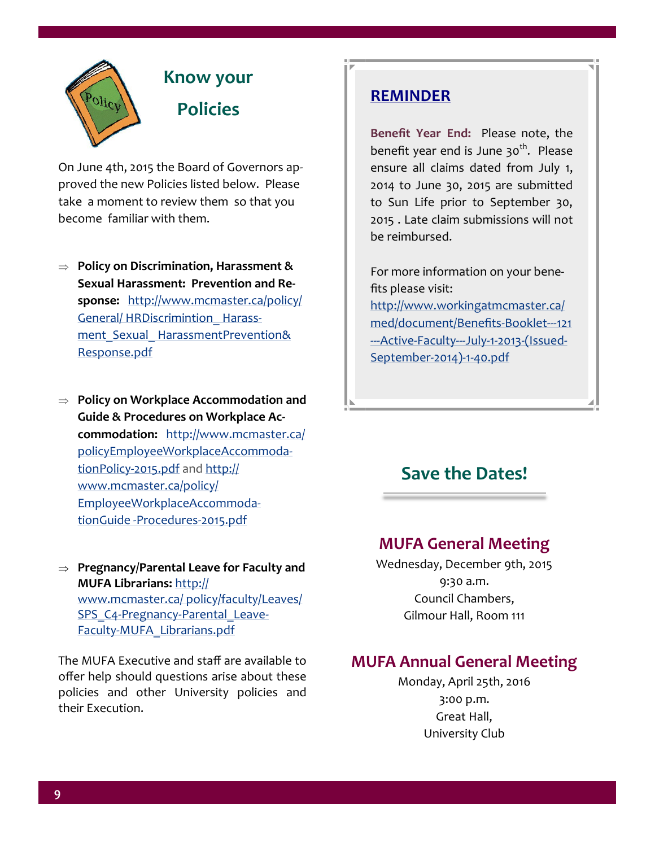

# **Know your Policies**

On June 4th, 2015 the Board of Governors approved the new Policies listed below. Please take a moment to review them so that you become familiar with them.

 **Policy on Discrimination, Harassment & Sexual Harassment: Prevention and Response:** [http://www.mcmaster.ca/policy/](http://www.mcmaster.ca/policy/General/HR/Discrimination_Harassment_Sexual_Harassment-Prevention&Response.pdf) [General/ HRDiscrimintion\\_ Harass](http://www.mcmaster.ca/policy/General/HR/Discrimination_Harassment_Sexual_Harassment-Prevention&Response.pdf)ment\_Sexual\_HarassmentPrevention& [Response.pdf](http://www.mcmaster.ca/policy/General/HR/Discrimination_Harassment_Sexual_Harassment-Prevention&Response.pdf) 

 **Policy on Workplace Accommodation and Guide & Procedures on Workplace Accommodation:** [http://www.mcmaster.ca/](http://www.mcmaster.ca/policy/Employee/WorkplaceAccommodationPolicy-2015.pdf) [policyEmployeeWorkplaceAccommoda](http://www.mcmaster.ca/policy/Employee/WorkplaceAccommodationPolicy-2015.pdf)[tionPolicy](http://www.mcmaster.ca/policy/Employee/WorkplaceAccommodationPolicy-2015.pdf)-2015.pdf and [http://](http://www.mcmaster.ca/policy/Employee/WorkplaceAccommodationGuide-Procedures-2015.pdf) [www.mcmaster.ca/policy/](http://www.mcmaster.ca/policy/Employee/WorkplaceAccommodationGuide-Procedures-2015.pdf) [EmployeeWorkplaceAccommoda](http://www.mcmaster.ca/policy/Employee/WorkplaceAccommodationGuide-Procedures-2015.pdf)tionGuide -[Procedures](http://www.mcmaster.ca/policy/Employee/WorkplaceAccommodationGuide-Procedures-2015.pdf)-2015.pdf

 **Pregnancy/Parental Leave for Faculty and MUFA Librarians:** [http://](http://www.mcmaster.ca/policy/faculty/Leaves/SPS_C4-Pregnancy-Parental_Leave-Faculty-MUFA_Librarians.pdf) [www.mcmaster.ca/ policy/faculty/Leaves/](http://www.mcmaster.ca/policy/faculty/Leaves/SPS_C4-Pregnancy-Parental_Leave-Faculty-MUFA_Librarians.pdf) SPS C4-Pregnancy-Parental Leave-Faculty-[MUFA\\_Librarians.pdf](http://www.mcmaster.ca/policy/faculty/Leaves/SPS_C4-Pregnancy-Parental_Leave-Faculty-MUFA_Librarians.pdf)

The MUFA Executive and staff are available to offer help should questions arise about these policies and other University policies and their Execution.

## **REMINDER**

**Benefit Year End:** Please note, the benefit year end is June 30<sup>th</sup>. Please ensure all claims dated from July 1, 2014 to June 30, 2015 are submitted to Sun Life prior to September 30, 2015 . Late claim submissions will not be reimbursed.

For more information on your benefits please visit: [http://www.workingatmcmaster.ca/](http://www.workingatmcmaster.ca/med/document/Benefits-Booklet---121---Active-Faculty---July-1-2013-(Issued-September-2014)-1-40.pdf) [med/document/Benefits](http://www.workingatmcmaster.ca/med/document/Benefits-Booklet---121---Active-Faculty---July-1-2013-(Issued-September-2014)-1-40.pdf)-Booklet---121 --- Active-Faculty---July-1-2013-[\(Issued](http://www.workingatmcmaster.ca/med/document/Benefits-Booklet---121---Active-Faculty---July-1-2013-(Issued-September-2014)-1-40.pdf)-[September](http://www.workingatmcmaster.ca/med/document/Benefits-Booklet---121---Active-Faculty---July-1-2013-(Issued-September-2014)-1-40.pdf)-2014)-1-40.pdf

## **Save the Dates!**

### **MUFA General Meeting**

Wednesday, December 9th, 2015 9:30 a.m. Council Chambers, Gilmour Hall, Room 111

## **MUFA Annual General Meeting**

Monday, April 25th, 2016 3:00 p.m. Great Hall, University Club